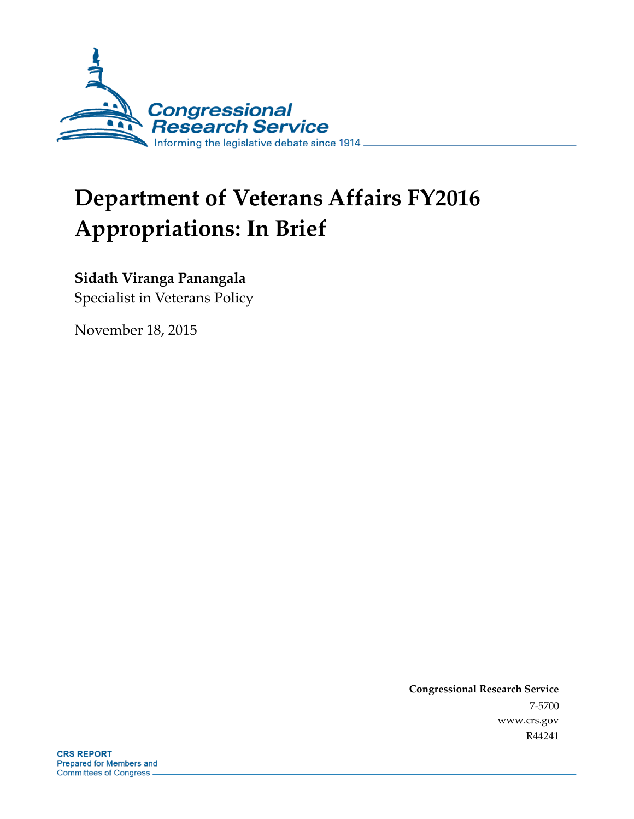

# **Department of Veterans Affairs FY2016 Appropriations: In Brief**

### **Sidath Viranga Panangala**

Specialist in Veterans Policy

November 18, 2015

**Congressional Research Service** 7-5700 www.crs.gov R44241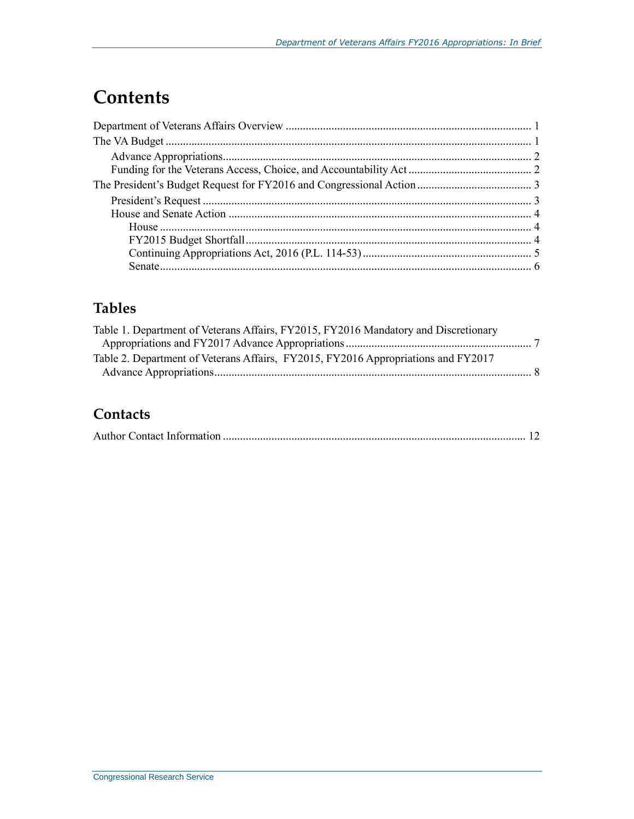## **Contents**

## **Tables**

| Table 1. Department of Veterans Affairs, FY2015, FY2016 Mandatory and Discretionary |  |
|-------------------------------------------------------------------------------------|--|
|                                                                                     |  |
| Table 2. Department of Veterans Affairs, FY2015, FY2016 Appropriations and FY2017   |  |
|                                                                                     |  |

## **Contacts**

|--|--|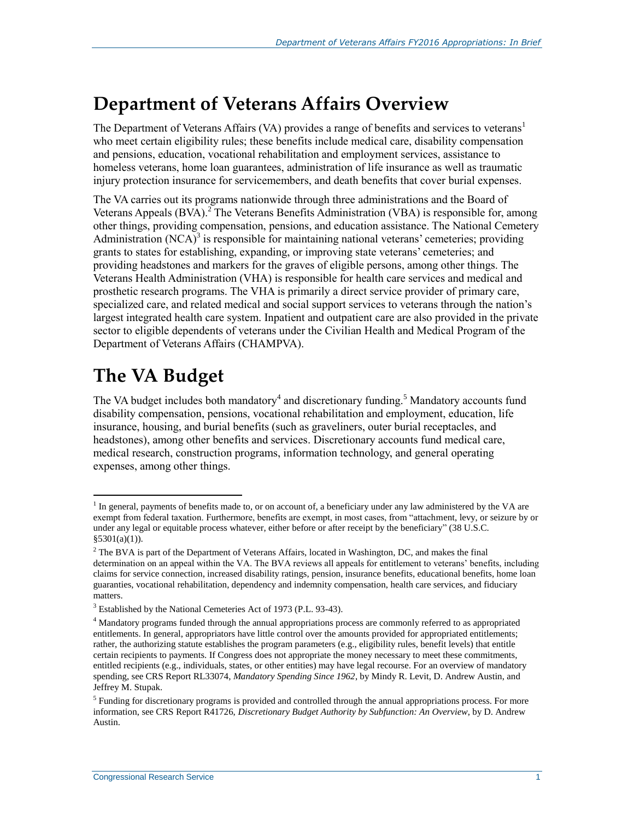## **Department of Veterans Affairs Overview**

The Department of Veterans Affairs (VA) provides a range of benefits and services to veterans<sup>1</sup> who meet certain eligibility rules; these benefits include medical care, disability compensation and pensions, education, vocational rehabilitation and employment services, assistance to homeless veterans, home loan guarantees, administration of life insurance as well as traumatic injury protection insurance for servicemembers, and death benefits that cover burial expenses.

The VA carries out its programs nationwide through three administrations and the Board of Veterans Appeals  $(BVA)$ .<sup>2</sup> The Veterans Benefits Administration (VBA) is responsible for, among other things, providing compensation, pensions, and education assistance. The National Cemetery Administration  $(NCA)^3$  is responsible for maintaining national veterans' cemeteries; providing grants to states for establishing, expanding, or improving state veterans' cemeteries; and providing headstones and markers for the graves of eligible persons, among other things. The Veterans Health Administration (VHA) is responsible for health care services and medical and prosthetic research programs. The VHA is primarily a direct service provider of primary care, specialized care, and related medical and social support services to veterans through the nation's largest integrated health care system. Inpatient and outpatient care are also provided in the private sector to eligible dependents of veterans under the Civilian Health and Medical Program of the Department of Veterans Affairs (CHAMPVA).

## **The VA Budget**

 $\overline{a}$ 

The VA budget includes both mandatory<sup>4</sup> and discretionary funding.<sup>5</sup> Mandatory accounts fund disability compensation, pensions, vocational rehabilitation and employment, education, life insurance, housing, and burial benefits (such as graveliners, outer burial receptacles, and headstones), among other benefits and services. Discretionary accounts fund medical care, medical research, construction programs, information technology, and general operating expenses, among other things.

 $<sup>1</sup>$  In general, payments of benefits made to, or on account of, a beneficiary under any law administered by the VA are</sup> exempt from federal taxation. Furthermore, benefits are exempt, in most cases, from "attachment, levy, or seizure by or under any legal or equitable process whatever, either before or after receipt by the beneficiary" (38 U.S.C. §5301(a)(1)).

<sup>&</sup>lt;sup>2</sup> The BVA is part of the Department of Veterans Affairs, located in Washington, DC, and makes the final determination on an appeal within the VA. The BVA reviews all appeals for entitlement to veterans' benefits, including claims for service connection, increased disability ratings, pension, insurance benefits, educational benefits, home loan guaranties, vocational rehabilitation, dependency and indemnity compensation, health care services, and fiduciary matters.

<sup>&</sup>lt;sup>3</sup> Established by the National Cemeteries Act of 1973 (P.L. 93-43).

<sup>&</sup>lt;sup>4</sup> Mandatory programs funded through the annual appropriations process are commonly referred to as appropriated entitlements. In general, appropriators have little control over the amounts provided for appropriated entitlements; rather, the authorizing statute establishes the program parameters (e.g., eligibility rules, benefit levels) that entitle certain recipients to payments. If Congress does not appropriate the money necessary to meet these commitments, entitled recipients (e.g., individuals, states, or other entities) may have legal recourse. For an overview of mandatory spending, see CRS Report RL33074, *Mandatory Spending Since 1962*, by Mindy R. Levit, D. Andrew Austin, and Jeffrey M. Stupak.

<sup>&</sup>lt;sup>5</sup> Funding for discretionary programs is provided and controlled through the annual appropriations process. For more information, see CRS Report R41726, *Discretionary Budget Authority by Subfunction: An Overview*, by D. Andrew Austin.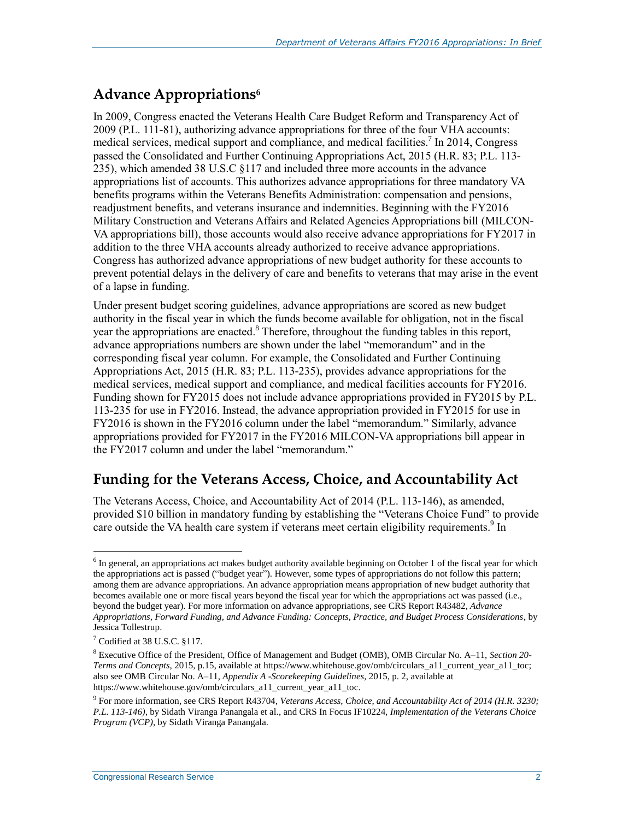### **Advance Appropriations<sup>6</sup>**

In 2009, Congress enacted the Veterans Health Care Budget Reform and Transparency Act of 2009 (P.L. 111-81), authorizing advance appropriations for three of the four VHA accounts: medical services, medical support and compliance, and medical facilities.<sup>7</sup> In 2014, Congress passed the Consolidated and Further Continuing Appropriations Act, 2015 (H.R. 83; P.L. 113- 235), which amended 38 U.S.C §117 and included three more accounts in the advance appropriations list of accounts. This authorizes advance appropriations for three mandatory VA benefits programs within the Veterans Benefits Administration: compensation and pensions, readjustment benefits, and veterans insurance and indemnities. Beginning with the FY2016 Military Construction and Veterans Affairs and Related Agencies Appropriations bill (MILCON-VA appropriations bill), those accounts would also receive advance appropriations for FY2017 in addition to the three VHA accounts already authorized to receive advance appropriations. Congress has authorized advance appropriations of new budget authority for these accounts to prevent potential delays in the delivery of care and benefits to veterans that may arise in the event of a lapse in funding.

Under present budget scoring guidelines, advance appropriations are scored as new budget authority in the fiscal year in which the funds become available for obligation, not in the fiscal year the appropriations are enacted. <sup>8</sup> Therefore, throughout the funding tables in this report, advance appropriations numbers are shown under the label "memorandum" and in the corresponding fiscal year column. For example, the Consolidated and Further Continuing Appropriations Act, 2015 (H.R. 83; P.L. 113-235), provides advance appropriations for the medical services, medical support and compliance, and medical facilities accounts for FY2016. Funding shown for FY2015 does not include advance appropriations provided in FY2015 by P.L. 113-235 for use in FY2016. Instead, the advance appropriation provided in FY2015 for use in FY2016 is shown in the FY2016 column under the label "memorandum." Similarly, advance appropriations provided for FY2017 in the FY2016 MILCON-VA appropriations bill appear in the FY2017 column and under the label "memorandum."

### **Funding for the Veterans Access, Choice, and Accountability Act**

The Veterans Access, Choice, and Accountability Act of 2014 (P.L. 113-146), as amended, provided \$10 billion in mandatory funding by establishing the "Veterans Choice Fund" to provide care outside the VA health care system if veterans meet certain eligibility requirements.<sup>9</sup> In

 $\overline{a}$  $6$  In general, an appropriations act makes budget authority available beginning on October 1 of the fiscal year for which the appropriations act is passed ("budget year"). However, some types of appropriations do not follow this pattern; among them are advance appropriations. An advance appropriation means appropriation of new budget authority that becomes available one or more fiscal years beyond the fiscal year for which the appropriations act was passed (i.e., beyond the budget year). For more information on advance appropriations, see CRS Report R43482, *Advance Appropriations, Forward Funding, and Advance Funding: Concepts, Practice, and Budget Process Considerations*, by Jessica Tollestrup.

 $<sup>7</sup>$  Codified at 38 U.S.C. §117.</sup>

<sup>8</sup> Executive Office of the President, Office of Management and Budget (OMB), OMB Circular No. A–11, *Section 20- Terms and Concepts,* 2015*,* p.15, available at https://www.whitehouse.gov/omb/circulars\_a11\_current\_year\_a11\_toc; also see OMB Circular No. A–11, *Appendix A -Scorekeeping Guidelines,* 2015, p. 2, available at https://www.whitehouse.gov/omb/circulars\_a11\_current\_year\_a11\_toc.

<sup>9</sup> For more information, see CRS Report R43704, *Veterans Access, Choice, and Accountability Act of 2014 (H.R. 3230; P.L. 113-146)*, by Sidath Viranga Panangala et al., and CRS In Focus IF10224, *Implementation of the Veterans Choice Program (VCP)*, by Sidath Viranga Panangala.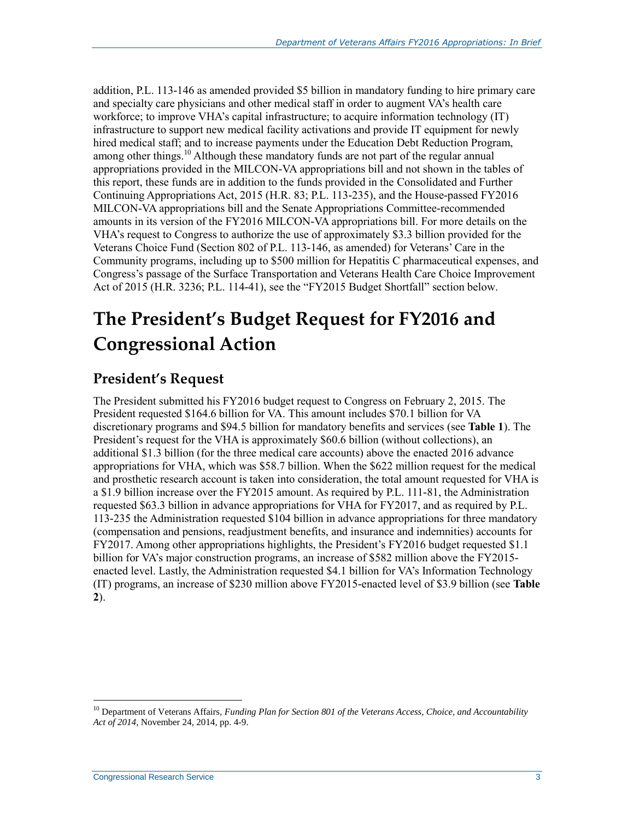addition, P.L. 113-146 as amended provided \$5 billion in mandatory funding to hire primary care and specialty care physicians and other medical staff in order to augment VA's health care workforce; to improve VHA's capital infrastructure; to acquire information technology (IT) infrastructure to support new medical facility activations and provide IT equipment for newly hired medical staff; and to increase payments under the Education Debt Reduction Program, among other things.<sup>10</sup> Although these mandatory funds are not part of the regular annual appropriations provided in the MILCON-VA appropriations bill and not shown in the tables of this report, these funds are in addition to the funds provided in the Consolidated and Further Continuing Appropriations Act, 2015 (H.R. 83; P.L. 113-235), and the House-passed FY2016 MILCON-VA appropriations bill and the Senate Appropriations Committee-recommended amounts in its version of the FY2016 MILCON-VA appropriations bill. For more details on the VHA's request to Congress to authorize the use of approximately \$3.3 billion provided for the Veterans Choice Fund (Section 802 of P.L. 113-146, as amended) for Veterans' Care in the Community programs, including up to \$500 million for Hepatitis C pharmaceutical expenses, and Congress's passage of the Surface Transportation and Veterans Health Care Choice Improvement Act of 2015 (H.R. 3236; P.L. 114-41), see the ["FY2015 Budget Shortfall"](#page-5-0) section below.

## **The President's Budget Request for FY2016 and Congressional Action**

### **President's Request**

The President submitted his FY2016 budget request to Congress on February 2, 2015. The President requested \$164.6 billion for VA. This amount includes \$70.1 billion for VA discretionary programs and \$94.5 billion for mandatory benefits and services (see **[Table 1](#page-8-0)**). The President's request for the VHA is approximately \$60.6 billion (without collections), an additional \$1.3 billion (for the three medical care accounts) above the enacted 2016 advance appropriations for VHA, which was \$58.7 billion. When the \$622 million request for the medical and prosthetic research account is taken into consideration, the total amount requested for VHA is a \$1.9 billion increase over the FY2015 amount. As required by P.L. 111-81, the Administration requested \$63.3 billion in advance appropriations for VHA for FY2017, and as required by P.L. 113-235 the Administration requested \$104 billion in advance appropriations for three mandatory (compensation and pensions, readjustment benefits, and insurance and indemnities) accounts for FY2017. Among other appropriations highlights, the President's FY2016 budget requested \$1.1 billion for VA's major construction programs, an increase of \$582 million above the FY2015 enacted level. Lastly, the Administration requested \$4.1 billion for VA's Information Technology (IT) programs, an increase of \$230 million above FY2015-enacted level of \$3.9 billion (see **[Table](#page-9-0)  [2](#page-9-0)**).

<sup>10</sup> Department of Veterans Affairs*, Funding Plan for Section 801 of the Veterans Access, Choice, and Accountability Act of 2014*, November 24, 2014, pp. 4-9.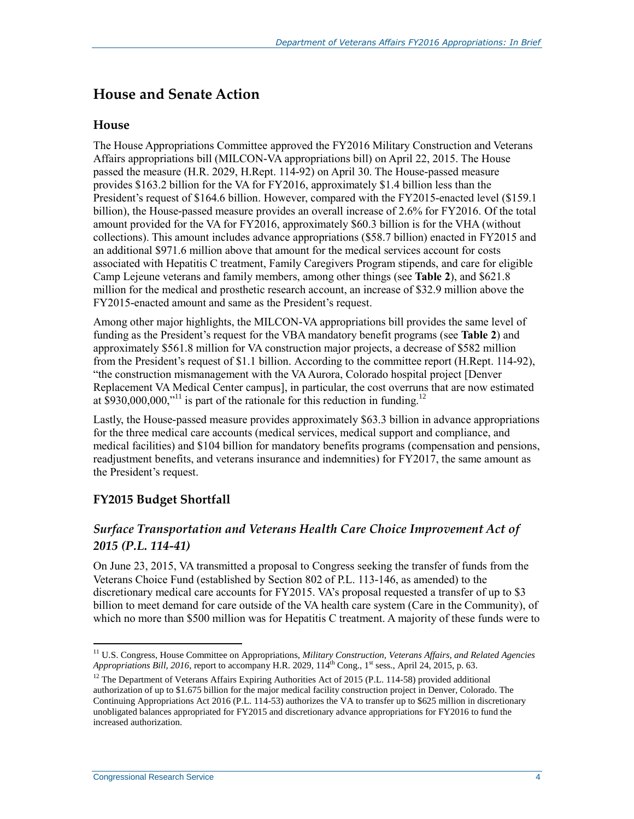#### **House and Senate Action**

#### **House**

The House Appropriations Committee approved the FY2016 Military Construction and Veterans Affairs appropriations bill (MILCON-VA appropriations bill) on April 22, 2015. The House passed the measure (H.R. 2029, H.Rept. 114-92) on April 30. The House-passed measure provides \$163.2 billion for the VA for FY2016, approximately \$1.4 billion less than the President's request of \$164.6 billion. However, compared with the FY2015-enacted level (\$159.1 billion), the House-passed measure provides an overall increase of 2.6% for FY2016. Of the total amount provided for the VA for FY2016, approximately \$60.3 billion is for the VHA (without collections). This amount includes advance appropriations (\$58.7 billion) enacted in FY2015 and an additional \$971.6 million above that amount for the medical services account for costs associated with Hepatitis C treatment, Family Caregivers Program stipends, and care for eligible Camp Lejeune veterans and family members, among other things (see **[Table 2](#page-9-0)**), and \$621.8 million for the medical and prosthetic research account, an increase of \$32.9 million above the FY2015-enacted amount and same as the President's request.

Among other major highlights, the MILCON-VA appropriations bill provides the same level of funding as the President's request for the VBA mandatory benefit programs (see **[Table 2](#page-9-0)**) and approximately \$561.8 million for VA construction major projects, a decrease of \$582 million from the President's request of \$1.1 billion. According to the committee report (H.Rept. 114-92), "the construction mismanagement with the VA Aurora, Colorado hospital project [Denver Replacement VA Medical Center campus], in particular, the cost overruns that are now estimated at  $$930,000,000$ ,"<sup>11</sup> is part of the rationale for this reduction in funding.<sup>12</sup>

Lastly, the House-passed measure provides approximately \$63.3 billion in advance appropriations for the three medical care accounts (medical services, medical support and compliance, and medical facilities) and \$104 billion for mandatory benefits programs (compensation and pensions, readjustment benefits, and veterans insurance and indemnities) for FY2017, the same amount as the President's request.

#### <span id="page-5-0"></span>**FY2015 Budget Shortfall**

#### *Surface Transportation and Veterans Health Care Choice Improvement Act of 2015 (P.L. 114-41)*

On June 23, 2015, VA transmitted a proposal to Congress seeking the transfer of funds from the Veterans Choice Fund (established by Section 802 of P.L. 113-146, as amended) to the discretionary medical care accounts for FY2015. VA's proposal requested a transfer of up to \$3 billion to meet demand for care outside of the VA health care system (Care in the Community), of which no more than \$500 million was for Hepatitis C treatment. A majority of these funds were to

<sup>11</sup> U.S. Congress, House Committee on Appropriations, *Military Construction, Veterans Affairs, and Related Agencies Appropriations Bill, 2016, report to accompany H.R. 2029, 114<sup>th</sup> Cong., 1<sup>st</sup> sess., April 24, 2015, p. 63.* 

 $12$  The Department of Veterans Affairs Expiring Authorities Act of 2015 (P.L. 114-58) provided additional authorization of up to \$1.675 billion for the major medical facility construction project in Denver, Colorado. The Continuing Appropriations Act 2016 (P.L. 114-53) authorizes the VA to transfer up to \$625 million in discretionary unobligated balances appropriated for FY2015 and discretionary advance appropriations for FY2016 to fund the increased authorization.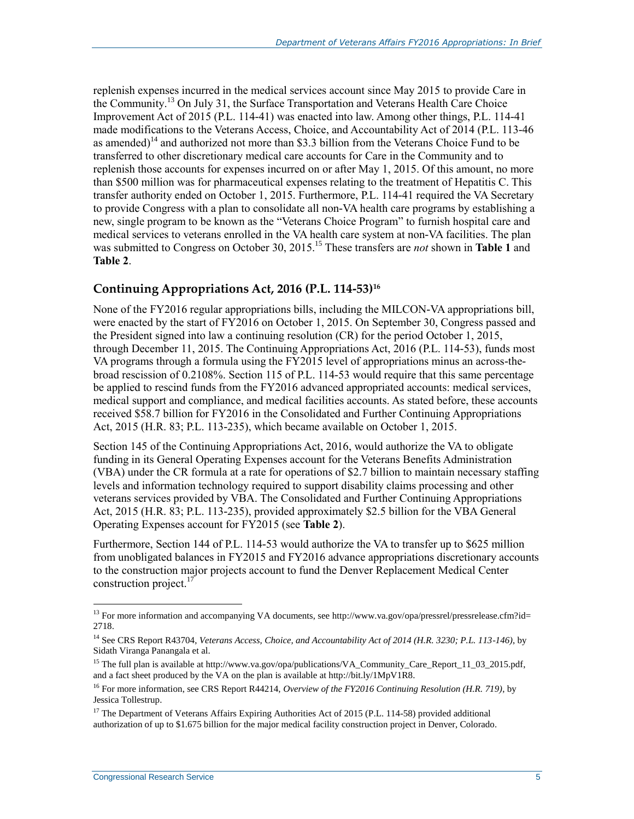replenish expenses incurred in the medical services account since May 2015 to provide Care in the Community.<sup>13</sup> On July 31, the Surface Transportation and Veterans Health Care Choice Improvement Act of 2015 (P.L. 114-41) was enacted into law. Among other things, P.L. 114-41 made modifications to the Veterans Access, Choice, and Accountability Act of 2014 (P.L. 113-46 as amended)<sup>14</sup> and authorized not more than \$3.3 billion from the Veterans Choice Fund to be transferred to other discretionary medical care accounts for Care in the Community and to replenish those accounts for expenses incurred on or after May 1, 2015. Of this amount, no more than \$500 million was for pharmaceutical expenses relating to the treatment of Hepatitis C. This transfer authority ended on October 1, 2015. Furthermore, P.L. 114-41 required the VA Secretary to provide Congress with a plan to consolidate all non-VA health care programs by establishing a new, single program to be known as the "Veterans Choice Program" to furnish hospital care and medical services to veterans enrolled in the VA health care system at non-VA facilities. The plan was submitted to Congress on October 30, 2015.<sup>15</sup> These transfers are *not* shown in **[Table 1](#page-8-0)** and **[Table 2](#page-9-0)**.

#### **Continuing Appropriations Act, 2016 (P.L. 114-53) 16**

None of the FY2016 regular appropriations bills, including the MILCON-VA appropriations bill, were enacted by the start of FY2016 on October 1, 2015. On September 30, Congress passed and the President signed into law a continuing resolution (CR) for the period October 1, 2015, through December 11, 2015. The Continuing Appropriations Act, 2016 (P.L. 114-53), funds most VA programs through a formula using the FY2015 level of appropriations minus an across-thebroad rescission of 0.2108%. Section 115 of P.L. 114-53 would require that this same percentage be applied to rescind funds from the FY2016 advanced appropriated accounts: medical services, medical support and compliance, and medical facilities accounts. As stated before, these accounts received \$58.7 billion for FY2016 in the Consolidated and Further Continuing Appropriations Act, 2015 (H.R. 83; P.L. 113-235), which became available on October 1, 2015.

Section 145 of the Continuing Appropriations Act, 2016, would authorize the VA to obligate funding in its General Operating Expenses account for the Veterans Benefits Administration (VBA) under the CR formula at a rate for operations of \$2.7 billion to maintain necessary staffing levels and information technology required to support disability claims processing and other veterans services provided by VBA. The Consolidated and Further Continuing Appropriations Act, 2015 (H.R. 83; P.L. 113-235), provided approximately \$2.5 billion for the VBA General Operating Expenses account for FY2015 (see **[Table 2](#page-9-0)**).

Furthermore, Section 144 of P.L. 114-53 would authorize the VA to transfer up to \$625 million from unobligated balances in FY2015 and FY2016 advance appropriations discretionary accounts to the construction major projects account to fund the Denver Replacement Medical Center construction project.<sup>17</sup>

<sup>&</sup>lt;sup>13</sup> For more information and accompanying VA documents, see http://www.va.gov/opa/pressrel/pressrelease.cfm?id= 2718.

<sup>14</sup> See CRS Report R43704, *Veterans Access, Choice, and Accountability Act of 2014 (H.R. 3230; P.L. 113-146)*, by Sidath Viranga Panangala et al.

<sup>&</sup>lt;sup>15</sup> The full plan is available at http://www.va.gov/opa/publications/VA\_Community\_Care\_Report\_11\_03\_2015.pdf, and a fact sheet produced by the VA on the plan is available at http://bit.ly/1MpV1R8.

<sup>16</sup> For more information, see CRS Report R44214, *Overview of the FY2016 Continuing Resolution (H.R. 719)*, by Jessica Tollestrup.

<sup>&</sup>lt;sup>17</sup> The Department of Veterans Affairs Expiring Authorities Act of 2015 (P.L. 114-58) provided additional authorization of up to \$1.675 billion for the major medical facility construction project in Denver, Colorado.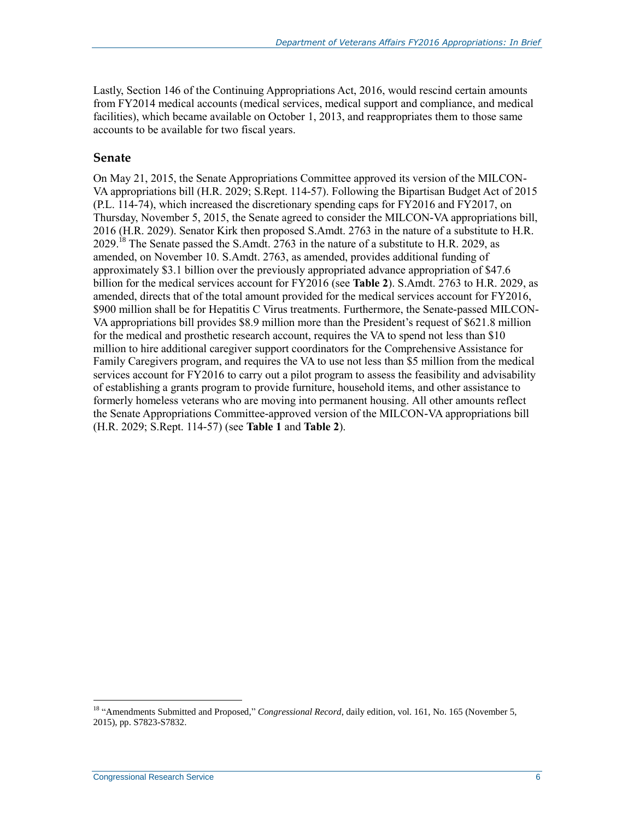Lastly, Section 146 of the Continuing Appropriations Act, 2016, would rescind certain amounts from FY2014 medical accounts (medical services, medical support and compliance, and medical facilities), which became available on October 1, 2013, and reappropriates them to those same accounts to be available for two fiscal years.

#### **Senate**

On May 21, 2015, the Senate Appropriations Committee approved its version of the MILCON-VA appropriations bill (H.R. 2029; S.Rept. 114-57). Following the Bipartisan Budget Act of 2015 (P.L. 114-74), which increased the discretionary spending caps for FY2016 and FY2017, on Thursday, November 5, 2015, the Senate agreed to consider the MILCON-VA appropriations bill, 2016 (H.R. 2029). Senator Kirk then proposed S.Amdt. 2763 in the nature of a substitute to H.R. 2029.<sup>18</sup> The Senate passed the S.Amdt. 2763 in the nature of a substitute to H.R. 2029, as amended, on November 10. S.Amdt. 2763, as amended, provides additional funding of approximately \$3.1 billion over the previously appropriated advance appropriation of \$47.6 billion for the medical services account for FY2016 (see **[Table 2](#page-9-0)**). S.Amdt. 2763 to H.R. 2029, as amended, directs that of the total amount provided for the medical services account for FY2016, \$900 million shall be for Hepatitis C Virus treatments. Furthermore, the Senate-passed MILCON-VA appropriations bill provides \$8.9 million more than the President's request of \$621.8 million for the medical and prosthetic research account, requires the VA to spend not less than \$10 million to hire additional caregiver support coordinators for the Comprehensive Assistance for Family Caregivers program, and requires the VA to use not less than \$5 million from the medical services account for FY2016 to carry out a pilot program to assess the feasibility and advisability of establishing a grants program to provide furniture, household items, and other assistance to formerly homeless veterans who are moving into permanent housing. All other amounts reflect the Senate Appropriations Committee-approved version of the MILCON-VA appropriations bill (H.R. 2029; S.Rept. 114-57) (see **[Table 1](#page-8-0)** and **[Table 2](#page-9-0)**).

<sup>&</sup>lt;sup>18</sup> "Amendments Submitted and Proposed," *Congressional Record*, daily edition, vol. 161, No. 165 (November 5, 2015), pp. S7823-S7832.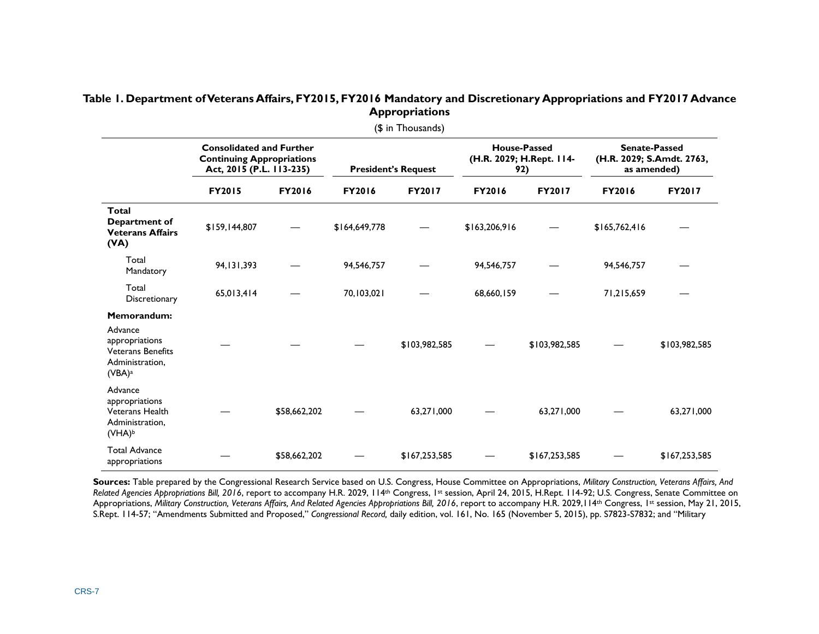#### **Table 1. Department of Veterans Affairs, FY2015, FY2016 Mandatory and Discretionary Appropriations and FY2017 Advance Appropriations**

<span id="page-8-0"></span>

| (\$ in Thousands)                                                                                             |                                                                                                 |               |                            |               |                                                        |               |                                                                  |               |  |  |
|---------------------------------------------------------------------------------------------------------------|-------------------------------------------------------------------------------------------------|---------------|----------------------------|---------------|--------------------------------------------------------|---------------|------------------------------------------------------------------|---------------|--|--|
|                                                                                                               | <b>Consolidated and Further</b><br><b>Continuing Appropriations</b><br>Act, 2015 (P.L. 113-235) |               | <b>President's Request</b> |               | <b>House-Passed</b><br>(H.R. 2029; H.Rept. 114-<br>92) |               | <b>Senate-Passed</b><br>(H.R. 2029; S.Amdt. 2763,<br>as amended) |               |  |  |
|                                                                                                               | <b>FY2015</b>                                                                                   | <b>FY2016</b> | <b>FY2016</b>              | <b>FY2017</b> | <b>FY2016</b>                                          | <b>FY2017</b> | <b>FY2016</b>                                                    | FY2017        |  |  |
| Total<br>Department of<br><b>Veterans Affairs</b><br>(YA)                                                     | \$159,144,807                                                                                   |               | \$164,649,778              |               | \$163,206,916                                          |               | \$165,762,416                                                    |               |  |  |
| Total<br>Mandatory                                                                                            | 94, 131, 393                                                                                    |               | 94,546,757                 |               | 94,546,757                                             |               | 94,546,757                                                       |               |  |  |
| Total<br>Discretionary                                                                                        | 65,013,414                                                                                      |               | 70,103,021                 |               | 68,660,159                                             |               | 71,215,659                                                       |               |  |  |
| Memorandum:<br>Advance<br>appropriations<br><b>Veterans Benefits</b><br>Administration,<br>(VBA) <sup>a</sup> |                                                                                                 |               |                            | \$103,982,585 |                                                        | \$103,982,585 |                                                                  | \$103,982,585 |  |  |
| Advance<br>appropriations<br><b>Veterans Health</b><br>Administration,<br>(VHA) <sup>b</sup>                  |                                                                                                 | \$58,662,202  |                            | 63,271,000    |                                                        | 63,271,000    |                                                                  | 63,271,000    |  |  |
| <b>Total Advance</b><br>appropriations                                                                        |                                                                                                 | \$58,662,202  |                            | \$167,253,585 |                                                        | \$167,253,585 |                                                                  | \$167,253,585 |  |  |

**Sources:** Table prepared by the Congressional Research Service based on U.S. Congress, House Committee on Appropriations, *Military Construction, Veterans Affairs, And Related Agencies Appropriations Bill, 2016*, report to accompany H.R. 2029, 114th Congress, 1st session, April 24, 2015, H.Rept. 114-92; U.S. Congress, Senate Committee on Appropriations, *Military Construction, Veterans Affairs, And Related Agencies Appropriations Bill, 2016*, report to accompany H.R. 2029, 114<sup>th</sup> Congress, 1<sup>st</sup> session, May 21, 2015, S.Rept. 114-57; "Amendments Submitted and Proposed," *Congressional Record,* daily edition, vol. 161, No. 165 (November 5, 2015), pp. S7823-S7832; and "Military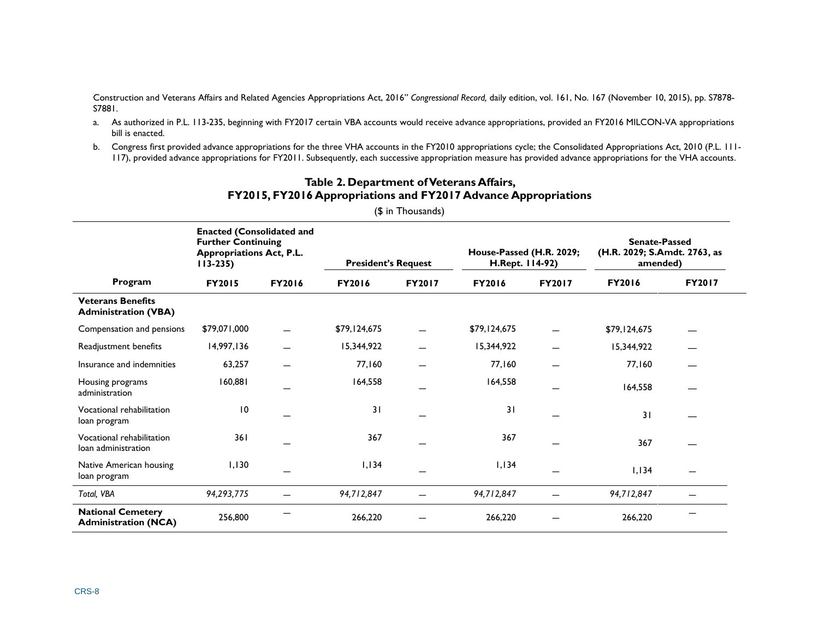Construction and Veterans Affairs and Related Agencies Appropriations Act, 2016" *Congressional Record,* daily edition, vol. 161, No. 167 (November 10, 2015), pp. S7878- S7881.

- <span id="page-9-1"></span>a. As authorized in P.L. 113-235, beginning with FY2017 certain VBA accounts would receive advance appropriations, provided an FY2016 MILCON-VA appropriations bill is enacted.
- <span id="page-9-2"></span>b. Congress first provided advance appropriations for the three VHA accounts in the FY2010 appropriations cycle; the Consolidated Appropriations Act, 2010 (P.L. 111-117), provided advance appropriations for FY2011. Subsequently, each successive appropriation measure has provided advance appropriations for the VHA accounts.

<span id="page-9-0"></span>

|                                                         | <b>Enacted (Consolidated and</b><br><b>Further Continuing</b><br><b>Appropriations Act, P.L.</b><br>$113 - 235$ |               | <b>President's Request</b> |        | House-Passed (H.R. 2029;<br>H.Rept. 114-92) |               | <b>Senate-Passed</b><br>(H.R. 2029; S.Amdt. 2763, as<br>amended) |               |
|---------------------------------------------------------|-----------------------------------------------------------------------------------------------------------------|---------------|----------------------------|--------|---------------------------------------------|---------------|------------------------------------------------------------------|---------------|
| Program                                                 | <b>FY2015</b>                                                                                                   | <b>FY2016</b> | FY2016                     | FY2017 | <b>FY2016</b>                               | <b>FY2017</b> | <b>FY2016</b>                                                    | <b>FY2017</b> |
| <b>Veterans Benefits</b><br><b>Administration (VBA)</b> |                                                                                                                 |               |                            |        |                                             |               |                                                                  |               |
| Compensation and pensions                               | \$79,071,000                                                                                                    |               | \$79,124,675               |        | \$79,124,675                                |               | \$79,124,675                                                     |               |
| Readjustment benefits                                   | 14,997,136                                                                                                      |               | 15,344,922                 |        | 15,344,922                                  |               | 15,344,922                                                       |               |
| Insurance and indemnities                               | 63,257                                                                                                          |               | 77,160                     |        | 77,160                                      |               | 77,160                                                           |               |
| Housing programs<br>administration                      | 160,881                                                                                                         |               | 164,558                    |        | 164,558                                     |               | 164,558                                                          |               |
| Vocational rehabilitation<br>loan program               | $\overline{10}$                                                                                                 |               | 31                         |        | 31                                          |               | 31                                                               |               |
| Vocational rehabilitation<br>loan administration        | 361                                                                                                             |               | 367                        |        | 367                                         |               | 367                                                              |               |
| Native American housing<br>loan program                 | 1,130                                                                                                           |               | 1,134                      |        | 1,134                                       |               | 1,134                                                            |               |
| Total, VBA                                              | 94,293,775                                                                                                      |               | 94,712,847                 |        | 94,712,847                                  |               | 94,712,847                                                       |               |
| <b>National Cemetery</b><br><b>Administration (NCA)</b> | 256,800                                                                                                         |               | 266,220                    |        | 266,220                                     |               | 266,220                                                          |               |

#### **Table 2. Department ofVeterans Affairs, FY2015, FY2016 Appropriations and FY2017 Advance Appropriations**

(\$ in Thousands)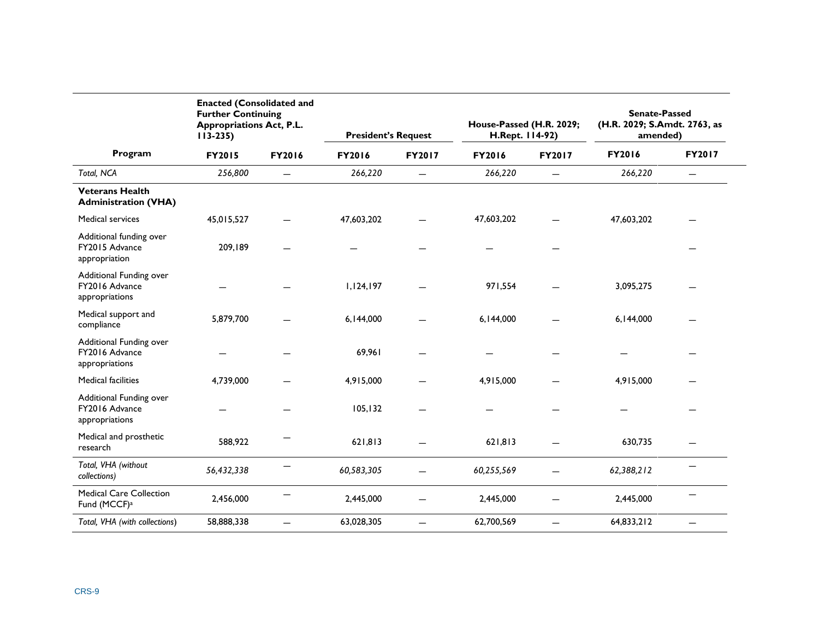|                                                             | <b>Enacted (Consolidated and</b><br><b>Further Continuing</b><br><b>Appropriations Act, P.L.</b><br>$113 - 235$ |                          | <b>President's Request</b> |                          | House-Passed (H.R. 2029;<br>H.Rept. 114-92) |                          | <b>Senate-Passed</b><br>(H.R. 2029; S.Amdt. 2763, as<br>amended) |                          |
|-------------------------------------------------------------|-----------------------------------------------------------------------------------------------------------------|--------------------------|----------------------------|--------------------------|---------------------------------------------|--------------------------|------------------------------------------------------------------|--------------------------|
| Program                                                     | <b>FY2015</b>                                                                                                   | FY2016                   | FY2016                     | FY2017                   | FY2016                                      | FY2017                   | FY2016                                                           | FY2017                   |
| Total, NCA                                                  | 256,800                                                                                                         |                          | 266,220                    | $\overline{\phantom{0}}$ | 266,220                                     |                          | 266,220                                                          |                          |
| <b>Veterans Health</b><br><b>Administration (VHA)</b>       |                                                                                                                 |                          |                            |                          |                                             |                          |                                                                  |                          |
| <b>Medical services</b>                                     | 45,015,527                                                                                                      |                          | 47,603,202                 |                          | 47,603,202                                  |                          | 47,603,202                                                       |                          |
| Additional funding over<br>FY2015 Advance<br>appropriation  | 209,189                                                                                                         |                          |                            |                          |                                             |                          |                                                                  |                          |
| Additional Funding over<br>FY2016 Advance<br>appropriations |                                                                                                                 |                          | 1,124,197                  |                          | 971,554                                     |                          | 3,095,275                                                        |                          |
| Medical support and<br>compliance                           | 5,879,700                                                                                                       |                          | 6,144,000                  |                          | 6,144,000                                   |                          | 6,144,000                                                        |                          |
| Additional Funding over<br>FY2016 Advance<br>appropriations |                                                                                                                 |                          | 69,961                     |                          |                                             |                          |                                                                  |                          |
| <b>Medical facilities</b>                                   | 4.739.000                                                                                                       |                          | 4,915,000                  |                          | 4,915,000                                   |                          | 4,915,000                                                        |                          |
| Additional Funding over<br>FY2016 Advance<br>appropriations |                                                                                                                 |                          | 105, 132                   |                          |                                             |                          |                                                                  |                          |
| Medical and prosthetic<br>research                          | 588,922                                                                                                         |                          | 621,813                    |                          | 621,813                                     |                          | 630,735                                                          |                          |
| Total, VHA (without<br>collections)                         | 56,432,338                                                                                                      |                          | 60,583,305                 |                          | 60,255,569                                  |                          | 62,388,212                                                       |                          |
| <b>Medical Care Collection</b><br>Fund (MCCF) <sup>a</sup>  | 2,456,000                                                                                                       |                          | 2,445,000                  | -                        | 2,445,000                                   |                          | 2,445,000                                                        |                          |
| Total, VHA (with collections)                               | 58,888,338                                                                                                      | $\overline{\phantom{0}}$ | 63,028,305                 | $\overline{\phantom{0}}$ | 62,700,569                                  | $\overline{\phantom{0}}$ | 64,833,212                                                       | $\overline{\phantom{0}}$ |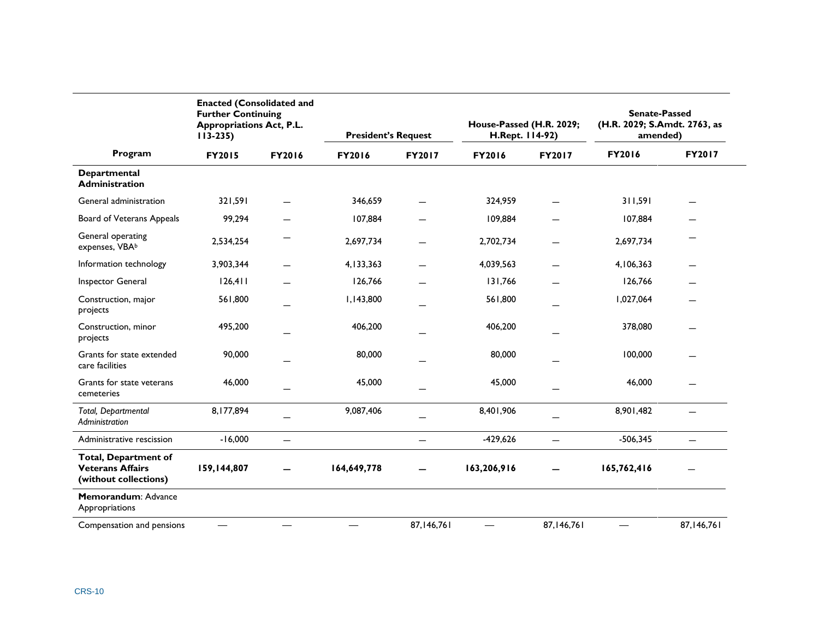|                                                                                 | <b>Enacted (Consolidated and</b><br><b>Further Continuing</b><br><b>Appropriations Act, P.L.</b><br>$113 - 235$ |        | <b>President's Request</b> |                          | House-Passed (H.R. 2029;<br>H.Rept. 114-92) |                          | <b>Senate-Passed</b><br>(H.R. 2029; S.Amdt. 2763, as<br>amended) |               |
|---------------------------------------------------------------------------------|-----------------------------------------------------------------------------------------------------------------|--------|----------------------------|--------------------------|---------------------------------------------|--------------------------|------------------------------------------------------------------|---------------|
| Program                                                                         | <b>FY2015</b>                                                                                                   | FY2016 | <b>FY2016</b>              | FY2017                   | FY2016                                      | FY2017                   | <b>FY2016</b>                                                    | <b>FY2017</b> |
| Departmental<br><b>Administration</b>                                           |                                                                                                                 |        |                            |                          |                                             |                          |                                                                  |               |
| General administration                                                          | 321,591                                                                                                         |        | 346,659                    |                          | 324,959                                     |                          | 311,591                                                          |               |
| Board of Veterans Appeals                                                       | 99,294                                                                                                          |        | 107,884                    |                          | 109,884                                     |                          | 107,884                                                          |               |
| General operating<br>expenses, VBAb                                             | 2,534,254                                                                                                       |        | 2,697,734                  |                          | 2,702,734                                   |                          | 2,697,734                                                        |               |
| Information technology                                                          | 3,903,344                                                                                                       |        | 4,133,363                  |                          | 4,039,563                                   |                          | 4,106,363                                                        |               |
| Inspector General                                                               | 126,411                                                                                                         |        | 126,766                    |                          | 131,766                                     |                          | 126,766                                                          |               |
| Construction, major<br>projects                                                 | 561,800                                                                                                         |        | 1,143,800                  |                          | 561,800                                     |                          | 1,027,064                                                        |               |
| Construction, minor<br>projects                                                 | 495,200                                                                                                         |        | 406,200                    |                          | 406,200                                     |                          | 378,080                                                          |               |
| Grants for state extended<br>care facilities                                    | 90,000                                                                                                          |        | 80,000                     |                          | 80,000                                      |                          | 100,000                                                          |               |
| Grants for state veterans<br>cemeteries                                         | 46,000                                                                                                          |        | 45,000                     |                          | 45,000                                      |                          | 46,000                                                           |               |
| Total, Departmental<br>Administration                                           | 8,177,894                                                                                                       |        | 9,087,406                  |                          | 8,401,906                                   |                          | 8,901,482                                                        | ۳             |
| Administrative rescission                                                       | $-16,000$                                                                                                       |        |                            | $\overline{\phantom{0}}$ | $-429,626$                                  | $\overline{\phantom{0}}$ | $-506,345$                                                       |               |
| <b>Total, Department of</b><br><b>Veterans Affairs</b><br>(without collections) | 159,144,807                                                                                                     |        | 164,649,778                |                          | 163,206,916                                 |                          | 165,762,416                                                      |               |
| Memorandum: Advance<br>Appropriations                                           |                                                                                                                 |        |                            |                          |                                             |                          |                                                                  |               |
| Compensation and pensions                                                       |                                                                                                                 |        |                            | 87,146,761               |                                             | 87,146,761               |                                                                  | 87,146,761    |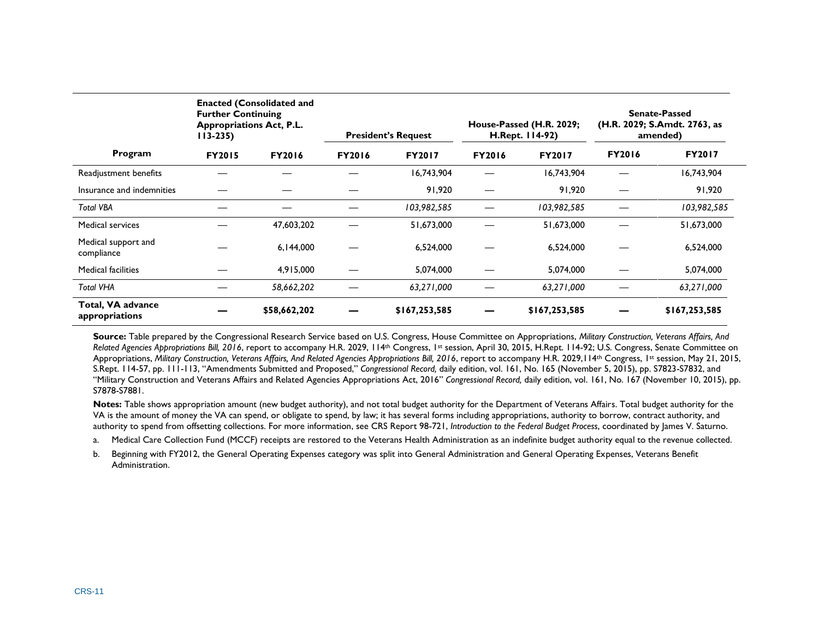|                                     | <b>Enacted (Consolidated and</b><br><b>Further Continuing</b><br><b>Appropriations Act, P.L.</b><br>$113 - 235$ |               | <b>President's Request</b> |               | House-Passed (H.R. 2029;<br>H.Rept. 114-92) |               | <b>Senate-Passed</b><br>(H.R. 2029; S.Amdt. 2763, as<br>amended) |               |
|-------------------------------------|-----------------------------------------------------------------------------------------------------------------|---------------|----------------------------|---------------|---------------------------------------------|---------------|------------------------------------------------------------------|---------------|
| Program                             | <b>FY2015</b>                                                                                                   | <b>FY2016</b> | <b>FY2016</b>              | <b>FY2017</b> | <b>FY2016</b>                               | <b>FY2017</b> | <b>FY2016</b>                                                    | <b>FY2017</b> |
| Readjustment benefits               |                                                                                                                 |               |                            | 16,743,904    |                                             | 16,743,904    |                                                                  | 16,743,904    |
| Insurance and indemnities           |                                                                                                                 |               |                            | 91,920        |                                             | 91,920        |                                                                  | 91,920        |
| <b>Total VBA</b>                    |                                                                                                                 |               |                            | 103,982,585   |                                             | 103,982,585   |                                                                  | 103,982,585   |
| <b>Medical services</b>             |                                                                                                                 | 47,603,202    |                            | 51,673,000    |                                             | 51,673,000    |                                                                  | 51,673,000    |
| Medical support and<br>compliance   |                                                                                                                 | 6,144,000     |                            | 6,524,000     |                                             | 6.524.000     |                                                                  | 6,524,000     |
| <b>Medical facilities</b>           |                                                                                                                 | 4,915,000     |                            | 5,074,000     |                                             | 5,074,000     |                                                                  | 5,074,000     |
| <b>Total VHA</b>                    |                                                                                                                 | 58,662,202    |                            | 63,271,000    |                                             | 63,271,000    |                                                                  | 63,271,000    |
| Total, VA advance<br>appropriations |                                                                                                                 | \$58,662,202  |                            | \$167,253,585 |                                             | \$167,253,585 |                                                                  | \$167,253,585 |

**Source:** Table prepared by the Congressional Research Service based on U.S. Congress, House Committee on Appropriations, *Military Construction, Veterans Affairs, And Related Agencies Appropriations Bill, 2016*, report to accompany H.R. 2029, 114th Congress, 1st session, April 30, 2015, H.Rept. 114-92; U.S. Congress, Senate Committee on Appropriations, *Military Construction, Veterans Affairs, And Related Agencies Appropriations Bill, 2016*, report to accompany H.R. 2029,114th Congress, 1st session, May 21, 2015, S.Rept. 114-57, pp. 111-113, "Amendments Submitted and Proposed," *Congressional Record,* daily edition, vol. 161, No. 165 (November 5, 2015), pp. S7823-S7832, and "Military Construction and Veterans Affairs and Related Agencies Appropriations Act, 2016" *Congressional Record,* daily edition, vol. 161, No. 167 (November 10, 2015), pp. S7878-S7881.

**Notes:** Table shows appropriation amount (new budget authority), and not total budget authority for the Department of Veterans Affairs. Total budget authority for the VA is the amount of money the VA can spend, or obligate to spend, by law; it has several forms including appropriations, authority to borrow, contract authority, and authority to spend from offsetting collections. For more information, see CRS Report 98-721, *Introduction to the Federal Budget Process*, coordinated by James V. Saturno.

<span id="page-12-0"></span>a. Medical Care Collection Fund (MCCF) receipts are restored to the Veterans Health Administration as an indefinite budget authority equal to the revenue collected.

<span id="page-12-1"></span>b. Beginning with FY2012, the General Operating Expenses category was split into General Administration and General Operating Expenses, Veterans Benefit Administration.